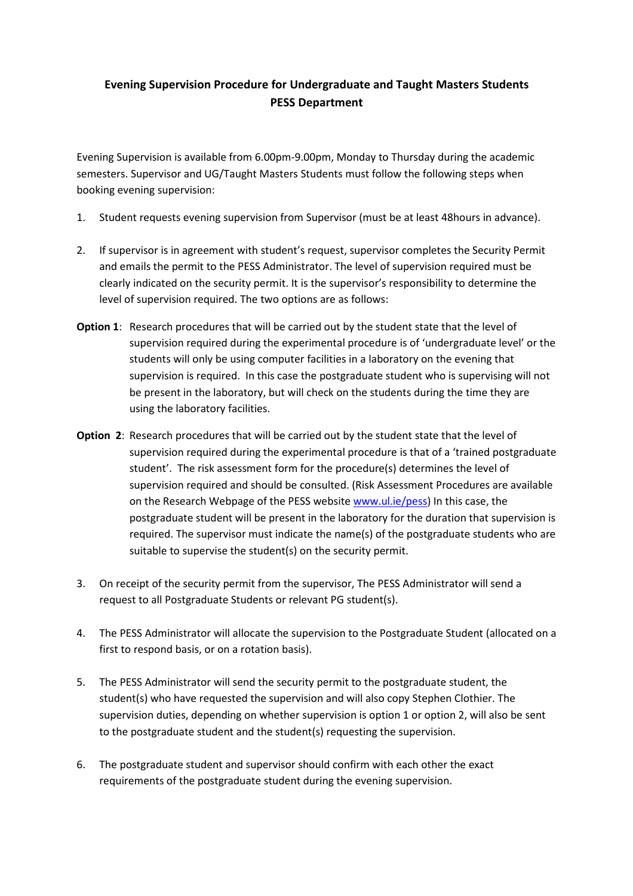### **Evening Supervision Procedure for Undergraduate and Taught Masters Students PESS Department**

Evening Supervision is available from 6.00pm-9.00pm, Monday to Thursday during the academic semesters. Supervisor and UG/Taught Masters Students must follow the following steps when booking evening supervision:

- 1. Student requests evening supervision from Supervisor (must be at least 48hours in advance).
- 2. If supervisor is in agreement with student's request, supervisor completes the Security Permit and emails the permit to the PESS Administrator. The level of supervision required must be clearly indicated on the security permit. It is the supervisor's responsibility to determine the level of supervision required. The two options are as follows:
- **Option 1**: Research procedures that will be carried out by the student state that the level of supervision required during the experimental procedure is of 'undergraduate level' or the students will only be using computer facilities in a laboratory on the evening that supervision is required. In this case the postgraduate student who is supervising will not be present in the laboratory, but will check on the students during the time they are using the laboratory facilities.
- **Option 2**: Research procedures that will be carried out by the student state that the level of supervision required during the experimental procedure is that of a 'trained postgraduate student'. The risk assessment form for the procedure(s) determines the level of supervision required and should be consulted. (Risk Assessment Procedures are available on the Research Webpage of the PESS website www.ul.ie/pess) In this case, the postgraduate student will be present in the laboratory for the duration that supervision is required. The supervisor must indicate the name(s) of the postgraduate students who are suitable to supervise the student(s) on the security permit.
- 3. On receipt of the security permit from the supervisor, The PESS Administrator will send a request to all Postgraduate Students or relevant PG student(s).
- 4. The PESS Administrator will allocate the supervision to the Postgraduate Student (allocated on a first to respond basis, or on a rotation basis).
- 5. The PESS Administrator will send the security permit to the postgraduate student, the student(s) who have requested the supervision and will also copy Stephen Clothier. The supervision duties, depending on whether supervision is option 1 or option 2, will also be sent to the postgraduate student and the student(s) requesting the supervision.
- 6. The postgraduate student and supervisor should confirm with each other the exact requirements of the postgraduate student during the evening supervision.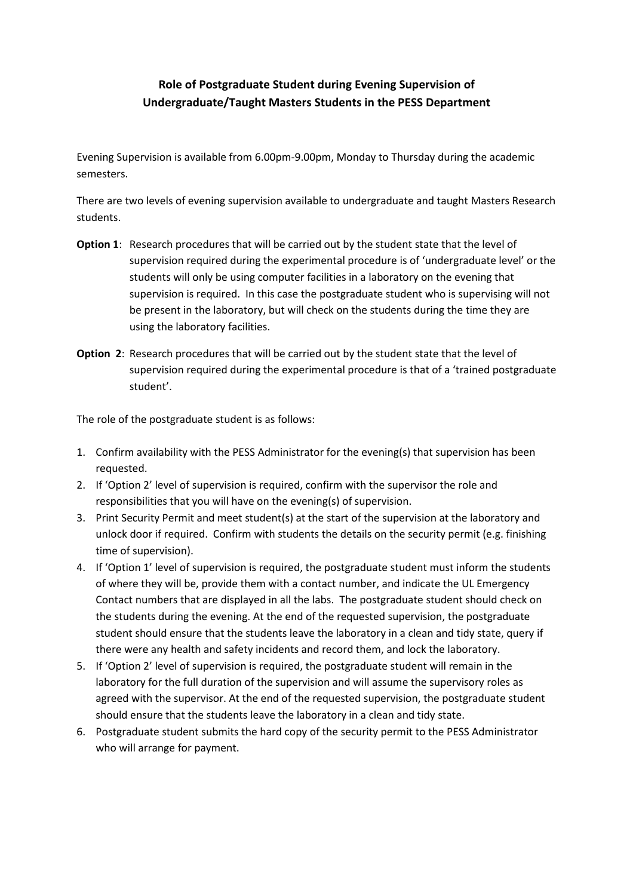# **Role of Postgraduate Student during Evening Supervision of Undergraduate/Taught Masters Students in the PESS Department**

Evening Supervision is available from 6.00pm-9.00pm, Monday to Thursday during the academic semesters.

There are two levels of evening supervision available to undergraduate and taught Masters Research students.

- **Option 1**: Research procedures that will be carried out by the student state that the level of supervision required during the experimental procedure is of 'undergraduate level' or the students will only be using computer facilities in a laboratory on the evening that supervision is required. In this case the postgraduate student who is supervising will not be present in the laboratory, but will check on the students during the time they are using the laboratory facilities.
- **Option 2**: Research procedures that will be carried out by the student state that the level of supervision required during the experimental procedure is that of a 'trained postgraduate student'.

The role of the postgraduate student is as follows:

- 1. Confirm availability with the PESS Administrator for the evening(s) that supervision has been requested.
- 2. If 'Option 2' level of supervision is required, confirm with the supervisor the role and responsibilities that you will have on the evening(s) of supervision.
- 3. Print Security Permit and meet student(s) at the start of the supervision at the laboratory and unlock door if required. Confirm with students the details on the security permit (e.g. finishing time of supervision).
- 4. If 'Option 1' level of supervision is required, the postgraduate student must inform the students of where they will be, provide them with a contact number, and indicate the UL Emergency Contact numbers that are displayed in all the labs. The postgraduate student should check on the students during the evening. At the end of the requested supervision, the postgraduate student should ensure that the students leave the laboratory in a clean and tidy state, query if there were any health and safety incidents and record them, and lock the laboratory.
- 5. If 'Option 2' level of supervision is required, the postgraduate student will remain in the laboratory for the full duration of the supervision and will assume the supervisory roles as agreed with the supervisor. At the end of the requested supervision, the postgraduate student should ensure that the students leave the laboratory in a clean and tidy state.
- 6. Postgraduate student submits the hard copy of the security permit to the PESS Administrator who will arrange for payment.